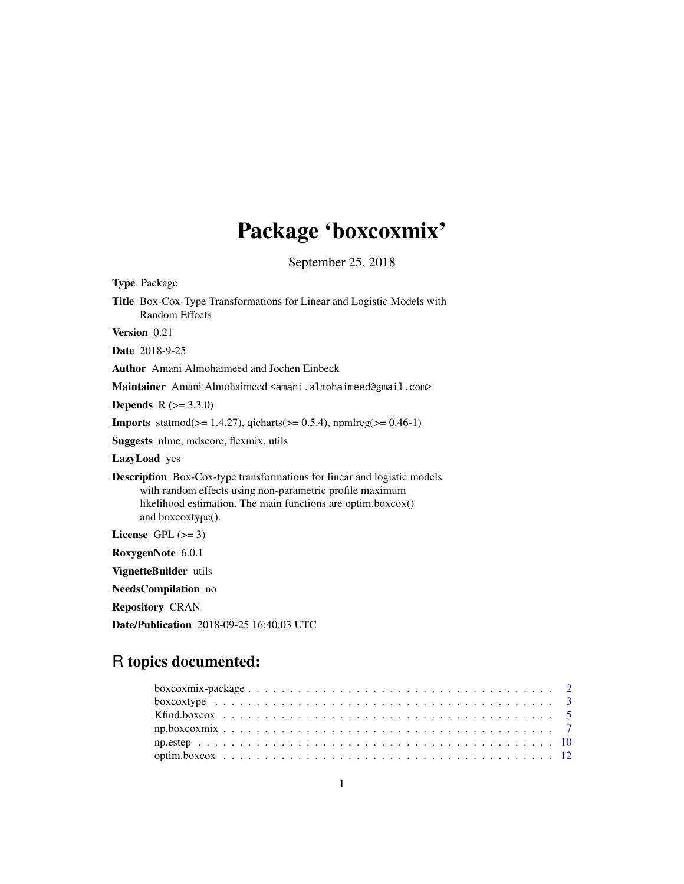# Package 'boxcoxmix'

September 25, 2018

<span id="page-0-0"></span>

| <b>Type Package</b>                                                                                                                                                                                                             |
|---------------------------------------------------------------------------------------------------------------------------------------------------------------------------------------------------------------------------------|
| Title Box-Cox-Type Transformations for Linear and Logistic Models with<br><b>Random Effects</b>                                                                                                                                 |
| Version 0.21                                                                                                                                                                                                                    |
| <b>Date</b> 2018-9-25                                                                                                                                                                                                           |
| <b>Author</b> Amani Almohaimeed and Jochen Einbeck                                                                                                                                                                              |
| Maintainer Amani Almohaimeed <amani.almohaimeed@gmail.com></amani.almohaimeed@gmail.com>                                                                                                                                        |
| <b>Depends</b> $R (= 3.3.0)$                                                                                                                                                                                                    |
| <b>Imports</b> statmod( $>= 1.4.27$ ), qicharts( $>= 0.5.4$ ), npmlreg( $>= 0.46-1$ )                                                                                                                                           |
| <b>Suggests</b> nlme, mdscore, flexmix, utils                                                                                                                                                                                   |
| LazyLoad yes                                                                                                                                                                                                                    |
| <b>Description</b> Box-Cox-type transformations for linear and logistic models<br>with random effects using non-parametric profile maximum<br>likelihood estimation. The main functions are optim.boxcox()<br>and boxcoxtype(). |
| License GPL $(>= 3)$                                                                                                                                                                                                            |
| RoxygenNote 6.0.1                                                                                                                                                                                                               |
| VignetteBuilder utils                                                                                                                                                                                                           |
| NeedsCompilation no                                                                                                                                                                                                             |
| <b>Repository CRAN</b>                                                                                                                                                                                                          |
| <b>Date/Publication</b> 2018-09-25 16:40:03 UTC                                                                                                                                                                                 |

# R topics documented: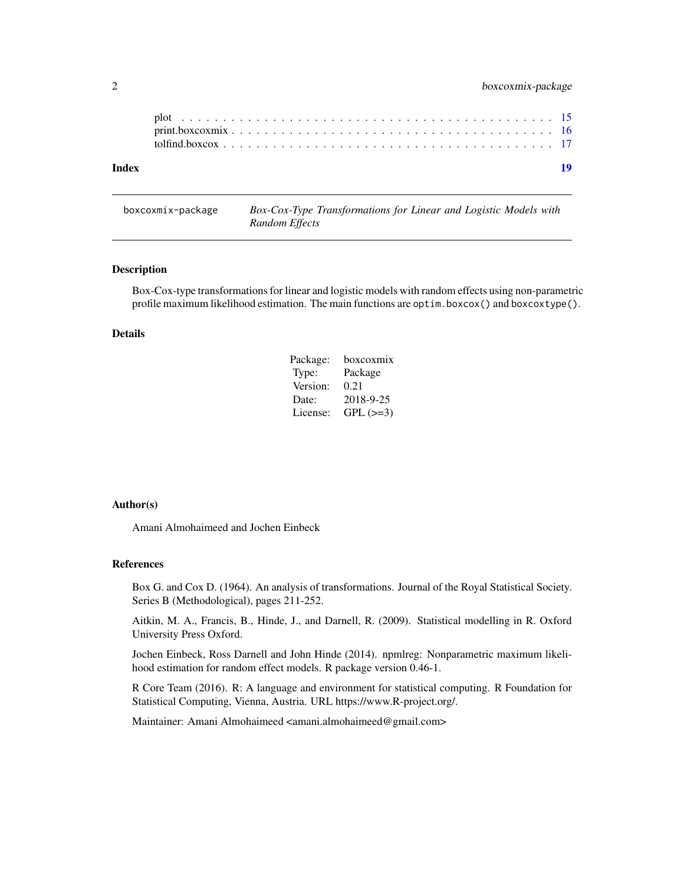<span id="page-1-0"></span>

| Index |  |  | 19 |
|-------|--|--|----|
|       |  |  |    |
|       |  |  |    |

boxcoxmix-package *Box-Cox-Type Transformations for Linear and Logistic Models with Random Effects*

# Description

Box-Cox-type transformations for linear and logistic models with random effects using non-parametric profile maximum likelihood estimation. The main functions are optim.boxcox() and boxcoxtype().

# Details

| Package: | boxcoxmix       |
|----------|-----------------|
| Type:    | Package         |
| Version: | 0.21            |
| Date:    | 2018-9-25       |
| License: | $GPL$ ( $>=3$ ) |

# Author(s)

Amani Almohaimeed and Jochen Einbeck

### References

Box G. and Cox D. (1964). An analysis of transformations. Journal of the Royal Statistical Society. Series B (Methodological), pages 211-252.

Aitkin, M. A., Francis, B., Hinde, J., and Darnell, R. (2009). Statistical modelling in R. Oxford University Press Oxford.

Jochen Einbeck, Ross Darnell and John Hinde (2014). npmlreg: Nonparametric maximum likelihood estimation for random effect models. R package version 0.46-1.

R Core Team (2016). R: A language and environment for statistical computing. R Foundation for Statistical Computing, Vienna, Austria. URL https://www.R-project.org/.

Maintainer: Amani Almohaimeed <amani.almohaimeed@gmail.com>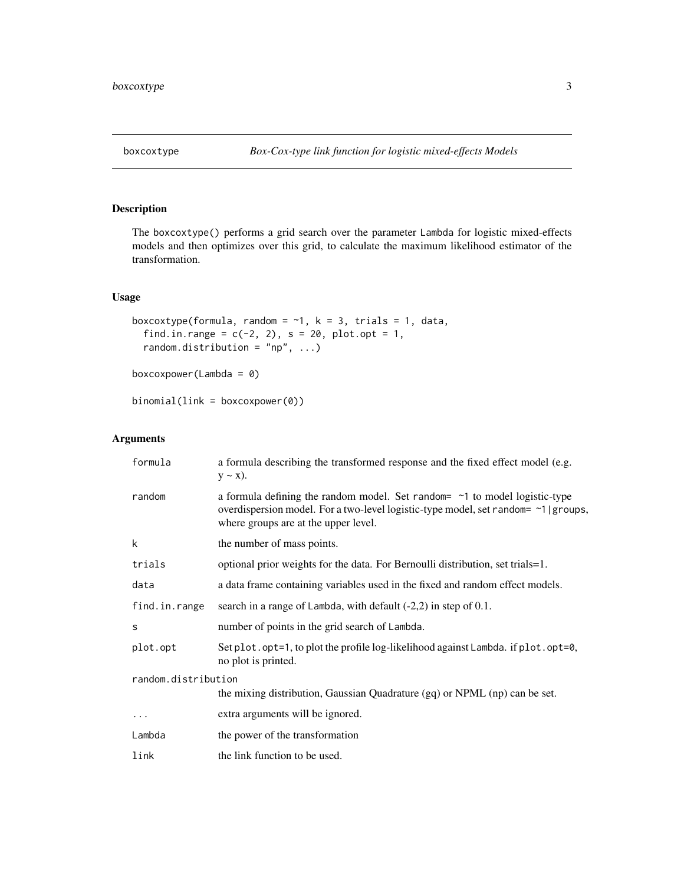<span id="page-2-0"></span>

# Description

The boxcoxtype() performs a grid search over the parameter Lambda for logistic mixed-effects models and then optimizes over this grid, to calculate the maximum likelihood estimator of the transformation.

# Usage

```
boxcoxtype(formula, random = \sim1, k = 3, trials = 1, data,
  find.in.range = c(-2, 2), s = 20, plot.opt = 1,
  random.distribution = "np", ...)
```

```
boxcoxpower(Lambda = 0)
```

```
binomial(link = boxcoxpower(0))
```

| formula             | a formula describing the transformed response and the fixed effect model (e.g.<br>$y \sim x$ ).                                                                                                                 |  |
|---------------------|-----------------------------------------------------------------------------------------------------------------------------------------------------------------------------------------------------------------|--|
| random              | a formula defining the random model. Set random= $\sim$ 1 to model logistic-type<br>overdispersion model. For a two-level logistic-type model, set random= ~1   groups,<br>where groups are at the upper level. |  |
| k                   | the number of mass points.                                                                                                                                                                                      |  |
| trials              | optional prior weights for the data. For Bernoulli distribution, set trials=1.                                                                                                                                  |  |
| data                | a data frame containing variables used in the fixed and random effect models.                                                                                                                                   |  |
| find.in.range       | search in a range of Lambda, with default $(-2,2)$ in step of 0.1.                                                                                                                                              |  |
| S                   | number of points in the grid search of Lambda.                                                                                                                                                                  |  |
| plot.opt            | Set plot.opt=1, to plot the profile log-likelihood against Lambda. if plot.opt=0,<br>no plot is printed.                                                                                                        |  |
| random.distribution |                                                                                                                                                                                                                 |  |
|                     | the mixing distribution, Gaussian Quadrature (gq) or NPML (np) can be set.                                                                                                                                      |  |
| $\cdots$            | extra arguments will be ignored.                                                                                                                                                                                |  |
| Lambda              | the power of the transformation                                                                                                                                                                                 |  |
| link                | the link function to be used.                                                                                                                                                                                   |  |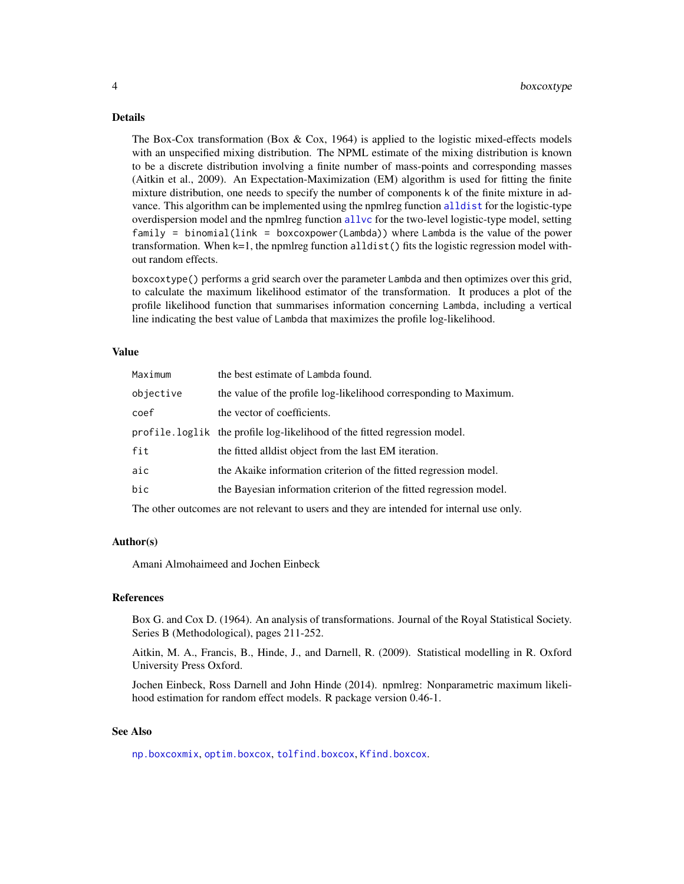# <span id="page-3-0"></span>4 boxcoxtype

#### Details

The Box-Cox transformation (Box  $\&$  Cox, 1964) is applied to the logistic mixed-effects models with an unspecified mixing distribution. The NPML estimate of the mixing distribution is known to be a discrete distribution involving a finite number of mass-points and corresponding masses (Aitkin et al., 2009). An Expectation-Maximization (EM) algorithm is used for fitting the finite mixture distribution, one needs to specify the number of components k of the finite mixture in advance. This algorithm can be implemented using the npmlreg function [alldist](#page-0-0) for the logistic-type overdispersion model and the npmlreg function [allvc](#page-0-0) for the two-level logistic-type model, setting family = binomial(link = boxcoxpower(Lambda)) where Lambda is the value of the power transformation. When  $k=1$ , the npmlreg function alldist() fits the logistic regression model without random effects.

boxcoxtype() performs a grid search over the parameter Lambda and then optimizes over this grid, to calculate the maximum likelihood estimator of the transformation. It produces a plot of the profile likelihood function that summarises information concerning Lambda, including a vertical line indicating the best value of Lambda that maximizes the profile log-likelihood.

#### Value

| Maximum   | the best estimate of Lambda found.                                        |
|-----------|---------------------------------------------------------------------------|
| objective | the value of the profile log-likelihood corresponding to Maximum.         |
| coef      | the vector of coefficients.                                               |
|           | profile.loglik the profile log-likelihood of the fitted regression model. |
| fit       | the fitted all dist object from the last EM iteration.                    |
| aic       | the Akaike information criterion of the fitted regression model.          |
| bic       | the Bayesian information criterion of the fitted regression model.        |
|           |                                                                           |

The other outcomes are not relevant to users and they are intended for internal use only.

# Author(s)

Amani Almohaimeed and Jochen Einbeck

#### References

Box G. and Cox D. (1964). An analysis of transformations. Journal of the Royal Statistical Society. Series B (Methodological), pages 211-252.

Aitkin, M. A., Francis, B., Hinde, J., and Darnell, R. (2009). Statistical modelling in R. Oxford University Press Oxford.

Jochen Einbeck, Ross Darnell and John Hinde (2014). npmlreg: Nonparametric maximum likelihood estimation for random effect models. R package version 0.46-1.

#### See Also

[np.boxcoxmix](#page-6-1), [optim.boxcox](#page-11-1), [tolfind.boxcox](#page-16-1), [Kfind.boxcox](#page-4-1).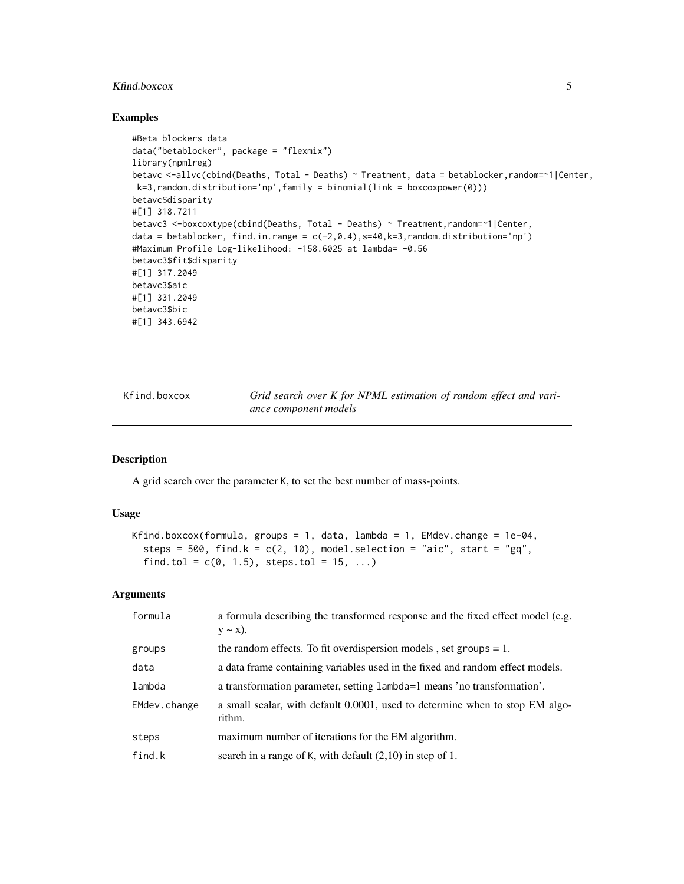# <span id="page-4-0"></span>Kfind.boxcox 5

#### Examples

```
#Beta blockers data
data("betablocker", package = "flexmix")
library(npmlreg)
betavc <-allvc(cbind(Deaths, Total - Deaths) ~ Treatment, data = betablocker,random=~1|Center,
k=3,random.distribution='np',family = binomial(link = boxcoxpower(0)))
betavc$disparity
#[1] 318.7211
betavc3 <-boxcoxtype(cbind(Deaths, Total - Deaths) ~ Treatment, random=~1|Center,
data = betablocker, find.in.range = c(-2, 0.4), s=40, k=3, random.distribution='np')
#Maximum Profile Log-likelihood: -158.6025 at lambda= -0.56
betavc3$fit$disparity
#[1] 317.2049
betavc3$aic
#[1] 331.2049
betavc3$bic
#[1] 343.6942
```
<span id="page-4-1"></span>Kfind.boxcox *Grid search over K for NPML estimation of random effect and variance component models*

# Description

A grid search over the parameter K, to set the best number of mass-points.

#### Usage

```
Kfind.boxcox(formula, groups = 1, data, lambda = 1, EMdev.change = 1e-04,
  steps = 500, find.k = c(2, 10), model.selection = "aic", start = "gq",
  find.tol = c(0, 1.5), steps.tol = 15, ...)
```

| formula      | a formula describing the transformed response and the fixed effect model (e.g.<br>$y \sim x$ ). |
|--------------|-------------------------------------------------------------------------------------------------|
| groups       | the random effects. To fit overdispersion models, set groups $= 1$ .                            |
| data         | a data frame containing variables used in the fixed and random effect models.                   |
| lambda       | a transformation parameter, setting lambda=1 means 'no transformation'.                         |
| EMdev.change | a small scalar, with default 0.0001, used to determine when to stop EM algo-<br>rithm.          |
| steps        | maximum number of iterations for the EM algorithm.                                              |
| find.k       | search in a range of K, with default $(2,10)$ in step of 1.                                     |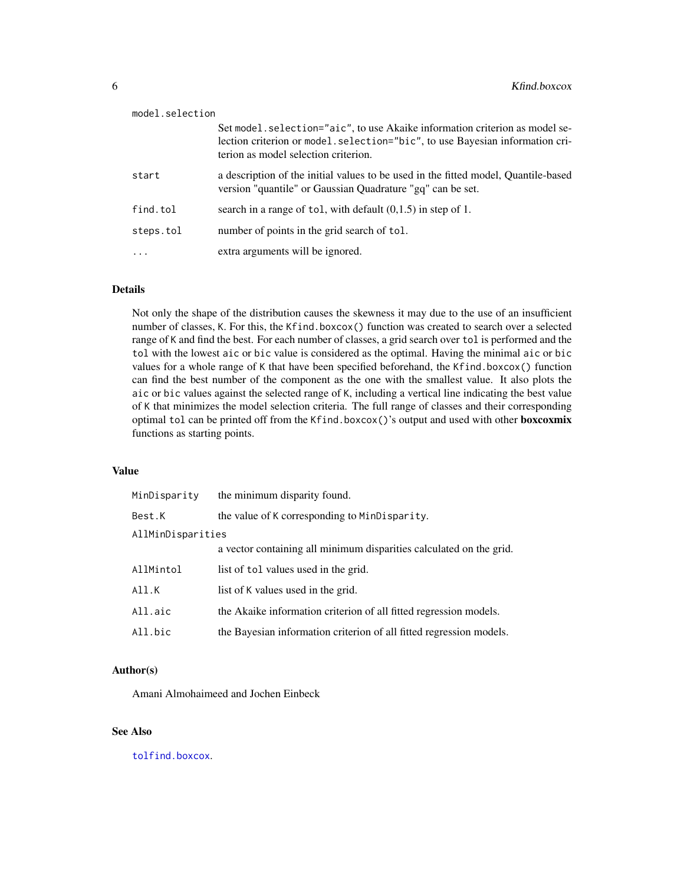<span id="page-5-0"></span>

| model.selection   |                                                                                                                                                                                                      |
|-------------------|------------------------------------------------------------------------------------------------------------------------------------------------------------------------------------------------------|
|                   | Set model. selection="aic", to use Akaike information criterion as model se-<br>lection criterion or model.selection="bic", to use Bayesian information cri-<br>terion as model selection criterion. |
| start             | a description of the initial values to be used in the fitted model, Quantile-based<br>version "quantile" or Gaussian Quadrature "gq" can be set.                                                     |
| find.tol          | search in a range of tol, with default $(0,1.5)$ in step of 1.                                                                                                                                       |
| steps.tol         | number of points in the grid search of tol.                                                                                                                                                          |
| $\cdot\cdot\cdot$ | extra arguments will be ignored.                                                                                                                                                                     |

# Details

Not only the shape of the distribution causes the skewness it may due to the use of an insufficient number of classes, K. For this, the Kfind.boxcox() function was created to search over a selected range of K and find the best. For each number of classes, a grid search over tol is performed and the tol with the lowest aic or bic value is considered as the optimal. Having the minimal aic or bic values for a whole range of K that have been specified beforehand, the Kfind.boxcox() function can find the best number of the component as the one with the smallest value. It also plots the aic or bic values against the selected range of K, including a vertical line indicating the best value of K that minimizes the model selection criteria. The full range of classes and their corresponding optimal tol can be printed off from the Kfind.boxcox()'s output and used with other boxcoxmix functions as starting points.

#### Value

| MinDisparity      | the minimum disparity found.                                        |
|-------------------|---------------------------------------------------------------------|
| Best.K            | the value of K corresponding to MinDisparity.                       |
| AllMinDisparities |                                                                     |
|                   | a vector containing all minimum disparities calculated on the grid. |
| AllMintol         | list of tol values used in the grid.                                |
| All.K             | list of K values used in the grid.                                  |
| All.aic           | the Akaike information criterion of all fitted regression models.   |
| All.bic           | the Bayesian information criterion of all fitted regression models. |

# Author(s)

Amani Almohaimeed and Jochen Einbeck

# See Also

[tolfind.boxcox](#page-16-1).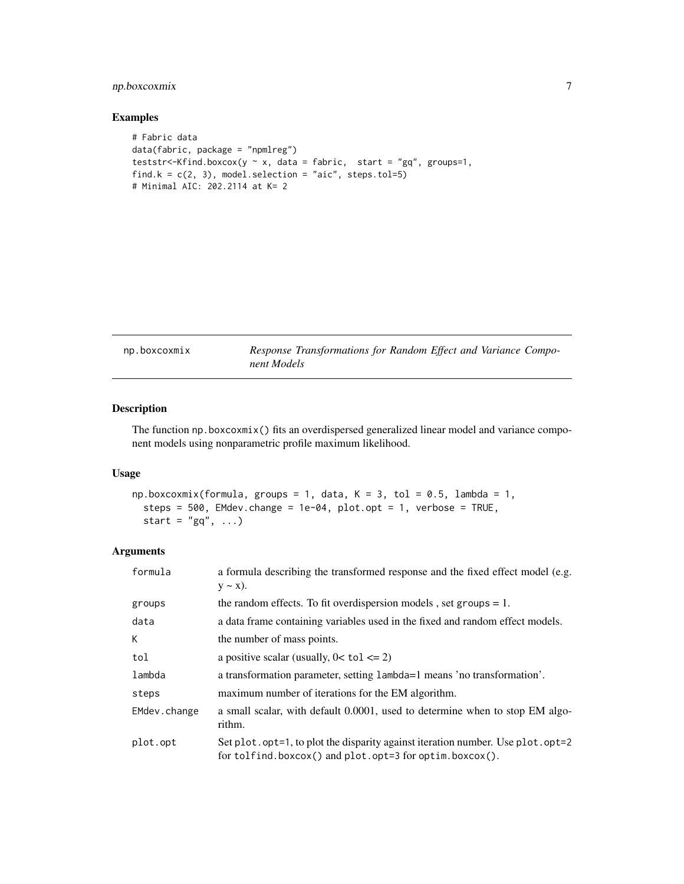# <span id="page-6-0"></span>np.boxcoxmix 7

# Examples

```
# Fabric data
data(fabric, package = "npmlreg")
teststr<-Kfind.boxcox(y \sim x, data = fabric, start = "gq", groups=1,
find.k = c(2, 3), model.selection = "aic", steps.tol=5)
# Minimal AIC: 202.2114 at K= 2
```
<span id="page-6-1"></span>np.boxcoxmix *Response Transformations for Random Effect and Variance Component Models*

# Description

The function np.boxcoxmix() fits an overdispersed generalized linear model and variance component models using nonparametric profile maximum likelihood.

# Usage

```
np.boxcoxmix(formula, groups = 1, data, K = 3, tol = 0.5, lambda = 1,steps = 500, EMdev.change = 1e-04, plot.opt = 1, verbose = TRUE,
 start = "gq", ...
```

| formula      | a formula describing the transformed response and the fixed effect model (e.g.<br>$y \sim x$ ).                                              |
|--------------|----------------------------------------------------------------------------------------------------------------------------------------------|
| groups       | the random effects. To fit overdispersion models, set groups $= 1$ .                                                                         |
| data         | a data frame containing variables used in the fixed and random effect models.                                                                |
| К            | the number of mass points.                                                                                                                   |
| tol          | a positive scalar (usually, $0 < \text{tol} \leq 2$ )                                                                                        |
| lambda       | a transformation parameter, setting lambda=1 means 'no transformation'.                                                                      |
| steps        | maximum number of iterations for the EM algorithm.                                                                                           |
| EMdev.change | a small scalar, with default 0.0001, used to determine when to stop EM algo-<br>rithm.                                                       |
| plot.opt     | Set plot.opt=1, to plot the disparity against iteration number. Use plot.opt=2<br>for tolfind.boxcox() and $plot.$ opt=3 for optim.boxcox(). |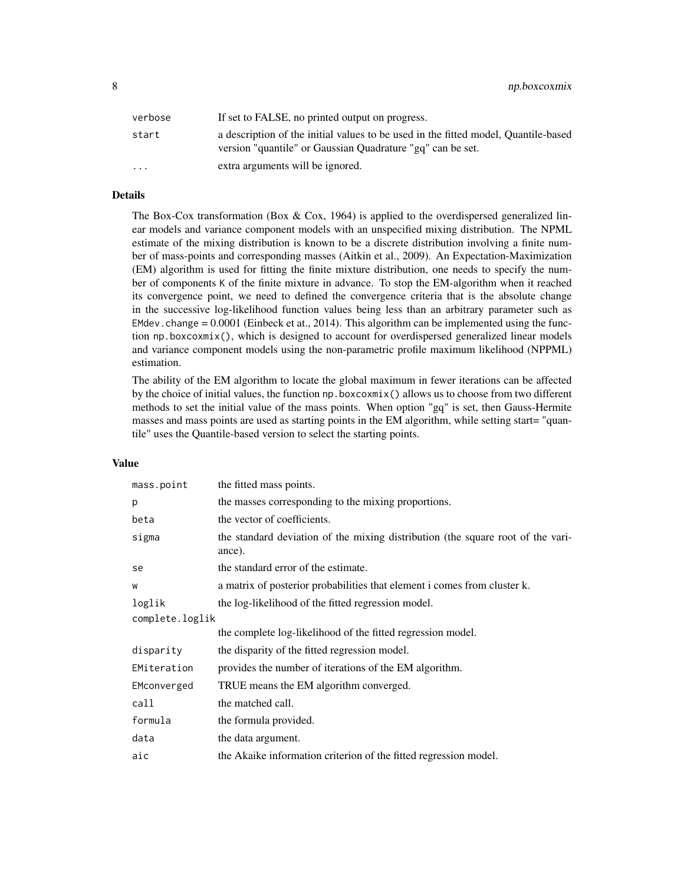8 np.boxcoxmix

| verbose                 | If set to FALSE, no printed output on progress.                                                                                                  |
|-------------------------|--------------------------------------------------------------------------------------------------------------------------------------------------|
| start                   | a description of the initial values to be used in the fitted model, Quantile-based<br>version "quantile" or Gaussian Quadrature "gq" can be set. |
| $\cdot$ $\cdot$ $\cdot$ | extra arguments will be ignored.                                                                                                                 |

# Details

The Box-Cox transformation (Box & Cox, 1964) is applied to the overdispersed generalized linear models and variance component models with an unspecified mixing distribution. The NPML estimate of the mixing distribution is known to be a discrete distribution involving a finite number of mass-points and corresponding masses (Aitkin et al., 2009). An Expectation-Maximization (EM) algorithm is used for fitting the finite mixture distribution, one needs to specify the number of components K of the finite mixture in advance. To stop the EM-algorithm when it reached its convergence point, we need to defined the convergence criteria that is the absolute change in the successive log-likelihood function values being less than an arbitrary parameter such as EMdev.change  $= 0.0001$  (Einbeck et at., 2014). This algorithm can be implemented using the function np.boxcoxmix(), which is designed to account for overdispersed generalized linear models and variance component models using the non-parametric profile maximum likelihood (NPPML) estimation.

The ability of the EM algorithm to locate the global maximum in fewer iterations can be affected by the choice of initial values, the function np.boxcoxmix() allows us to choose from two different methods to set the initial value of the mass points. When option "gq" is set, then Gauss-Hermite masses and mass points are used as starting points in the EM algorithm, while setting start= "quantile" uses the Quantile-based version to select the starting points.

### Value

| the fitted mass points.                                                                   |  |  |
|-------------------------------------------------------------------------------------------|--|--|
| the masses corresponding to the mixing proportions.                                       |  |  |
| the vector of coefficients.                                                               |  |  |
| the standard deviation of the mixing distribution (the square root of the vari-<br>ance). |  |  |
| the standard error of the estimate.                                                       |  |  |
| a matrix of posterior probabilities that element i comes from cluster k.                  |  |  |
| the log-likelihood of the fitted regression model.                                        |  |  |
| complete.loglik                                                                           |  |  |
| the complete log-likelihood of the fitted regression model.                               |  |  |
| the disparity of the fitted regression model.                                             |  |  |
| provides the number of iterations of the EM algorithm.                                    |  |  |
| TRUE means the EM algorithm converged.                                                    |  |  |
| the matched call.                                                                         |  |  |
| the formula provided.                                                                     |  |  |
| the data argument.                                                                        |  |  |
| the Akaike information criterion of the fitted regression model.                          |  |  |
|                                                                                           |  |  |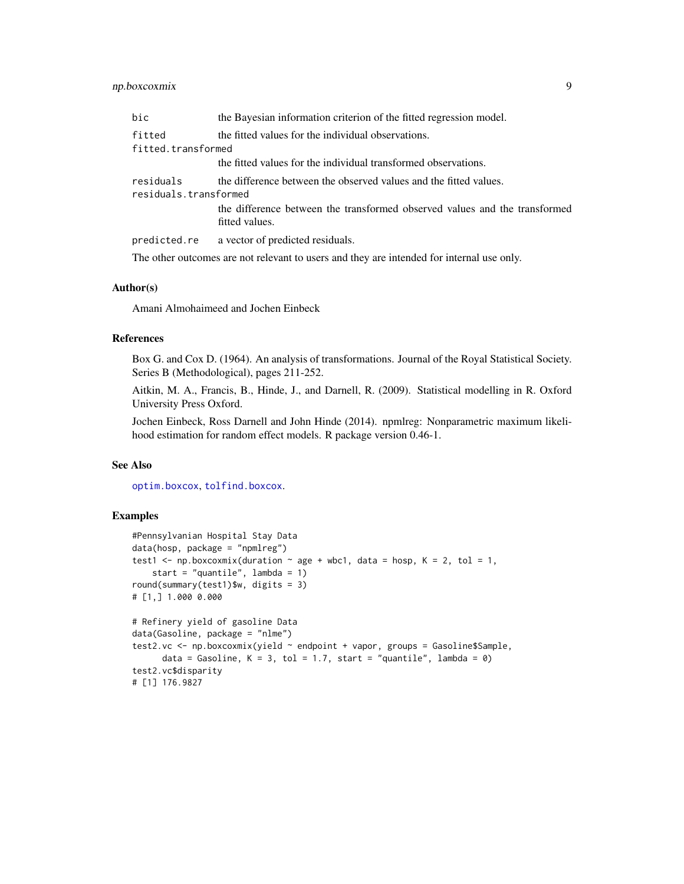# <span id="page-8-0"></span>np.boxcoxmix 9

| bic                                | the Bayesian information criterion of the fitted regression model.                                                                              |  |
|------------------------------------|-------------------------------------------------------------------------------------------------------------------------------------------------|--|
| fitted<br>fitted.transformed       | the fitted values for the individual observations.                                                                                              |  |
|                                    | the fitted values for the individual transformed observations.                                                                                  |  |
| residuals<br>residuals.transformed | the difference between the observed values and the fitted values.<br>the difference between the transformed observed values and the transformed |  |
|                                    | fitted values.                                                                                                                                  |  |
|                                    | predicted.re a vector of predicted residuals.                                                                                                   |  |
|                                    | The other outcomes are not relevant to users and they are intended for internal use only.                                                       |  |

# Author(s)

Amani Almohaimeed and Jochen Einbeck

#### References

Box G. and Cox D. (1964). An analysis of transformations. Journal of the Royal Statistical Society. Series B (Methodological), pages 211-252.

Aitkin, M. A., Francis, B., Hinde, J., and Darnell, R. (2009). Statistical modelling in R. Oxford University Press Oxford.

Jochen Einbeck, Ross Darnell and John Hinde (2014). npmlreg: Nonparametric maximum likelihood estimation for random effect models. R package version 0.46-1.

#### See Also

[optim.boxcox](#page-11-1), [tolfind.boxcox](#page-16-1).

### Examples

```
#Pennsylvanian Hospital Stay Data
data(hosp, package = "npmlreg")
test1 <- np.boxcoxmix(duration \sim age + wbc1, data = hosp, K = 2, tol = 1,
   start = "quantile", lambda = 1)
round(summary(test1)$w, digits = 3)
# [1,] 1.000 0.000
# Refinery yield of gasoline Data
data(Gasoline, package = "nlme")
test2.vc <- np.boxcoxmix(yield ~ endpoint + vapor, groups = Gasoline$Sample,
     data = Gasoline, K = 3, tol = 1.7, start = "quantile", lambda = 0)
test2.vc$disparity
# [1] 176.9827
```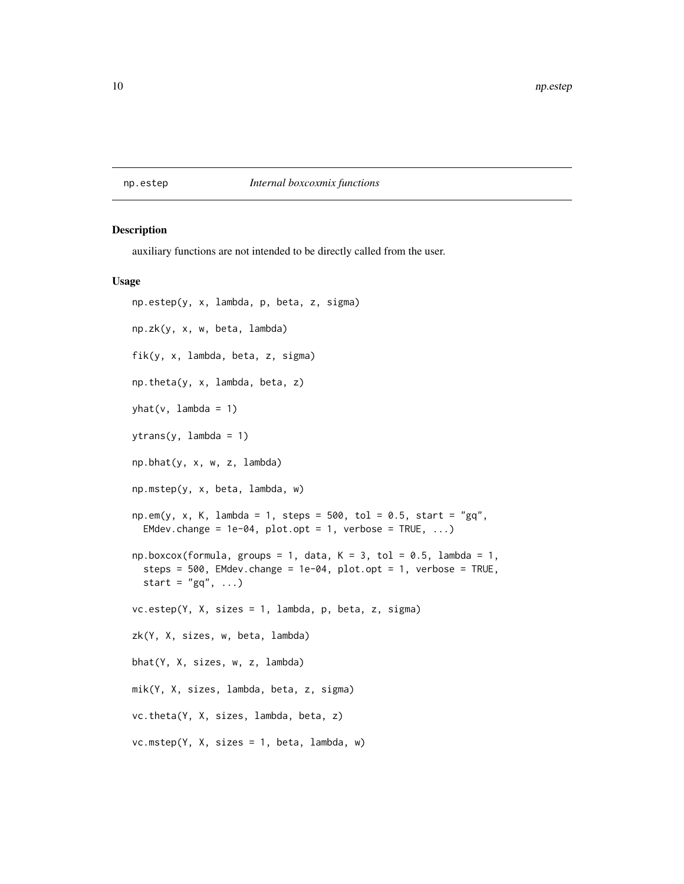# <span id="page-9-0"></span>np.estep *Internal boxcoxmix functions*

#### Description

auxiliary functions are not intended to be directly called from the user.

#### Usage

np.estep(y, x, lambda, p, beta, z, sigma) np.zk(y, x, w, beta, lambda) fik(y, x, lambda, beta, z, sigma) np.theta(y, x, lambda, beta, z)  $yhat(v,$  lambda = 1) ytrans(y, lambda = 1) np.bhat(y, x, w, z, lambda) np.mstep(y, x, beta, lambda, w)  $np.cm(y, x, K, lambda = 1, steps = 500, tol = 0.5, start = "gq",$ EMdev.change =  $1e-04$ , plot.opt =  $1$ , verbose = TRUE, ...)  $np.boxcox(formula, groups = 1, data, K = 3, tol = 0.5, lambda = 1,$ steps =  $500$ , EMdev.change =  $1e-04$ , plot.opt =  $1$ , verbose = TRUE, start =  $"gq", \ldots)$ vc.estep(Y, X, sizes = 1, lambda, p, beta, z, sigma) zk(Y, X, sizes, w, beta, lambda) bhat(Y, X, sizes, w, z, lambda) mik(Y, X, sizes, lambda, beta, z, sigma) vc.theta(Y, X, sizes, lambda, beta, z) vc.mstep(Y, X, sizes = 1, beta, lambda, w)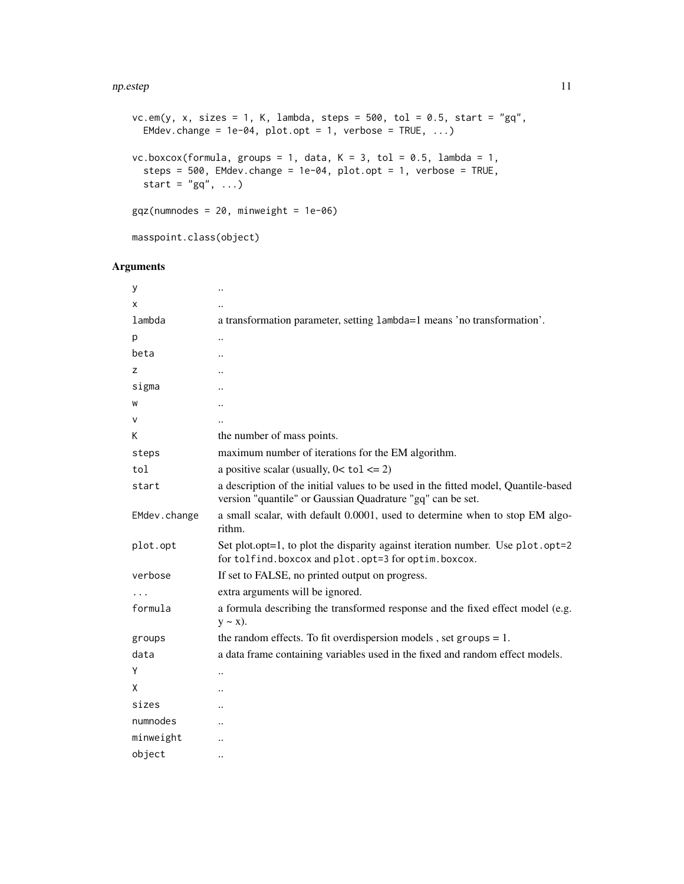#### np.estep 11

```
vc.em(y, x, sizes = 1, K, lambda, steps = 500, tol = 0.5, start = "gq",
 EMdev.change = 1e-04, plot.opt = 1, verbose = TRUE, ...)
vc.boxcox(formula, groups = 1, data, K = 3, tol = 0.5, lambda = 1,
  steps = 500, EMdev.change = 1e-04, plot.opt = 1, verbose = TRUE,
  start = "gq", \ldots)ggz(numnodes = 20, minweight = 1e-06)
```

```
masspoint.class(object)
```

| у            |                                                                                                                                                  |
|--------------|--------------------------------------------------------------------------------------------------------------------------------------------------|
| X            |                                                                                                                                                  |
| lambda       | a transformation parameter, setting lambda=1 means 'no transformation'.                                                                          |
| p            |                                                                                                                                                  |
| beta         |                                                                                                                                                  |
| z            |                                                                                                                                                  |
| sigma        |                                                                                                                                                  |
| W            |                                                                                                                                                  |
| v            |                                                                                                                                                  |
| Κ            | the number of mass points.                                                                                                                       |
| steps        | maximum number of iterations for the EM algorithm.                                                                                               |
| tol          | a positive scalar (usually, $0 < \text{tol} \leq 2$ )                                                                                            |
| start        | a description of the initial values to be used in the fitted model, Quantile-based<br>version "quantile" or Gaussian Quadrature "gq" can be set. |
| EMdev.change | a small scalar, with default 0.0001, used to determine when to stop EM algo-<br>rithm.                                                           |
| plot.opt     | Set plot.opt=1, to plot the disparity against iteration number. Use plot.opt=2<br>for tolfind.boxcox and plot.opt=3 for optim.boxcox.            |
| verbose      | If set to FALSE, no printed output on progress.                                                                                                  |
|              | extra arguments will be ignored.                                                                                                                 |
| formula      | a formula describing the transformed response and the fixed effect model (e.g.<br>$y \sim x$ ).                                                  |
| groups       | the random effects. To fit overdispersion models, set groups $= 1$ .                                                                             |
| data         | a data frame containing variables used in the fixed and random effect models.                                                                    |
| Y            |                                                                                                                                                  |
| X            |                                                                                                                                                  |
| sizes        |                                                                                                                                                  |
| numnodes     |                                                                                                                                                  |
| minweight    |                                                                                                                                                  |
| object       | $\ddot{\phantom{a}}$                                                                                                                             |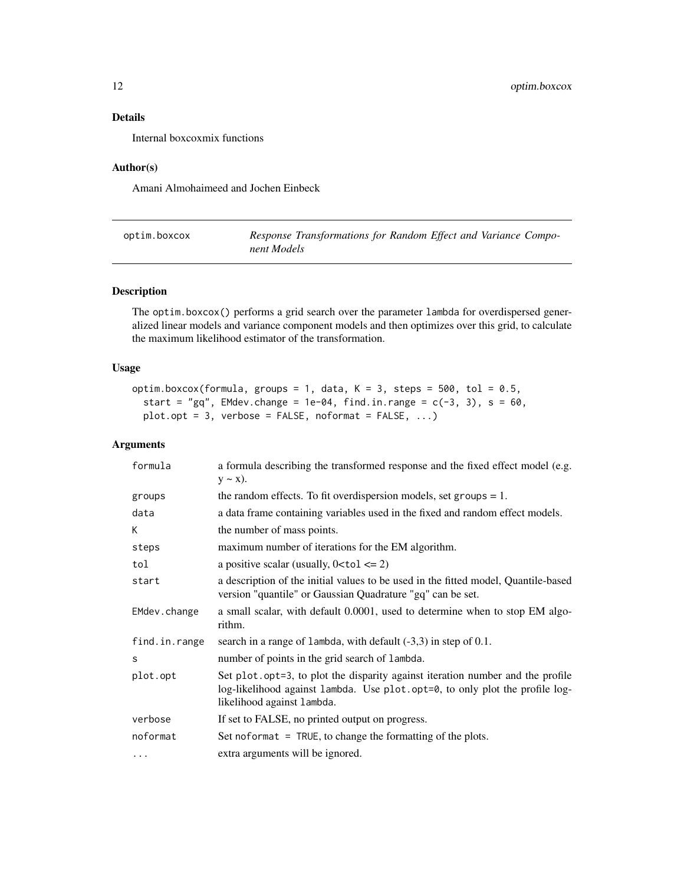# <span id="page-11-0"></span>Details

Internal boxcoxmix functions

#### Author(s)

Amani Almohaimeed and Jochen Einbeck

<span id="page-11-1"></span>

| optim.boxcox | Response Transformations for Random Effect and Variance Compo- |
|--------------|----------------------------------------------------------------|
|              | nent Models                                                    |

# Description

The optim.boxcox() performs a grid search over the parameter lambda for overdispersed generalized linear models and variance component models and then optimizes over this grid, to calculate the maximum likelihood estimator of the transformation.

# Usage

```
optim.boxcox(formula, groups = 1, data, K = 3, steps = 500, tol = 0.5,
  start = "gq", EMdev.change = 1e-04, find.in.range = c(-3, 3), s = 60,
 plot.opt = 3, verbose = FALSE, noformat = FALSE, ...)
```

| formula       | a formula describing the transformed response and the fixed effect model (e.g.<br>$y \sim x$ ).                                                                                              |
|---------------|----------------------------------------------------------------------------------------------------------------------------------------------------------------------------------------------|
| groups        | the random effects. To fit overdispersion models, set groups $= 1$ .                                                                                                                         |
| data          | a data frame containing variables used in the fixed and random effect models.                                                                                                                |
| К             | the number of mass points.                                                                                                                                                                   |
| steps         | maximum number of iterations for the EM algorithm.                                                                                                                                           |
| tol           | a positive scalar (usually, $0 <$ tol $\leq$ 2)                                                                                                                                              |
| start         | a description of the initial values to be used in the fitted model, Quantile-based<br>version "quantile" or Gaussian Quadrature "gq" can be set.                                             |
| EMdev.change  | a small scalar, with default 0.0001, used to determine when to stop EM algo-<br>rithm.                                                                                                       |
| find.in.range | search in a range of lambda, with default $(-3,3)$ in step of 0.1.                                                                                                                           |
| S             | number of points in the grid search of lambda.                                                                                                                                               |
| plot.opt      | Set plot.opt=3, to plot the disparity against iteration number and the profile<br>log-likelihood against lambda. Use plot.opt=0, to only plot the profile log-<br>likelihood against lambda. |
| verbose       | If set to FALSE, no printed output on progress.                                                                                                                                              |
| noformat      | Set noformat $=$ TRUE, to change the formatting of the plots.                                                                                                                                |
| $\cdots$      | extra arguments will be ignored.                                                                                                                                                             |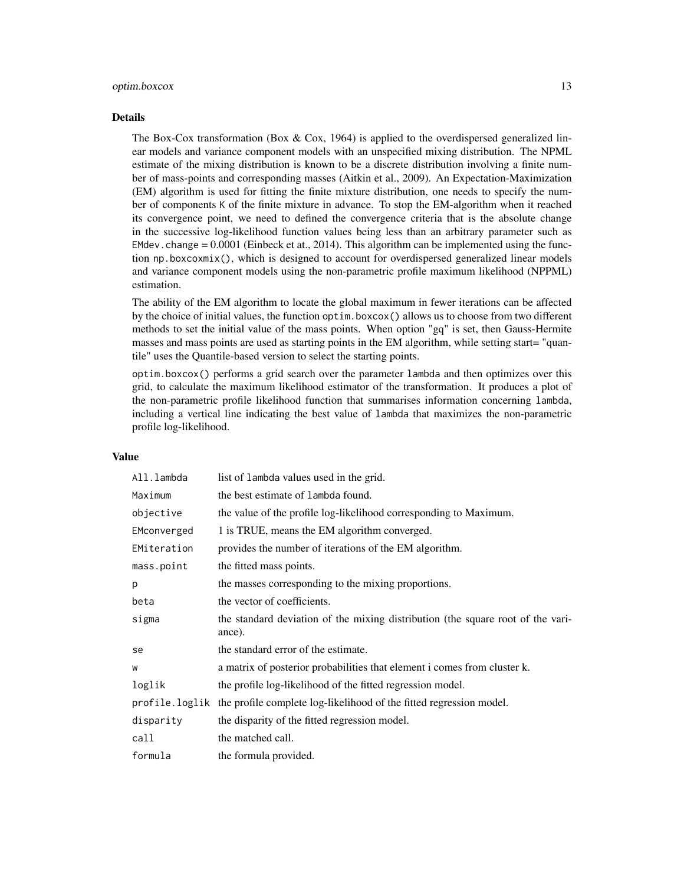#### optim.boxcox 13

#### Details

The Box-Cox transformation (Box  $& Cox$ , 1964) is applied to the overdispersed generalized linear models and variance component models with an unspecified mixing distribution. The NPML estimate of the mixing distribution is known to be a discrete distribution involving a finite number of mass-points and corresponding masses (Aitkin et al., 2009). An Expectation-Maximization (EM) algorithm is used for fitting the finite mixture distribution, one needs to specify the number of components K of the finite mixture in advance. To stop the EM-algorithm when it reached its convergence point, we need to defined the convergence criteria that is the absolute change in the successive log-likelihood function values being less than an arbitrary parameter such as EMdev.change  $= 0.0001$  (Einbeck et at., 2014). This algorithm can be implemented using the function np.boxcoxmix(), which is designed to account for overdispersed generalized linear models and variance component models using the non-parametric profile maximum likelihood (NPPML) estimation.

The ability of the EM algorithm to locate the global maximum in fewer iterations can be affected by the choice of initial values, the function optim.boxcox() allows us to choose from two different methods to set the initial value of the mass points. When option "gq" is set, then Gauss-Hermite masses and mass points are used as starting points in the EM algorithm, while setting start= "quantile" uses the Quantile-based version to select the starting points.

optim.boxcox() performs a grid search over the parameter lambda and then optimizes over this grid, to calculate the maximum likelihood estimator of the transformation. It produces a plot of the non-parametric profile likelihood function that summarises information concerning lambda, including a vertical line indicating the best value of lambda that maximizes the non-parametric profile log-likelihood.

#### Value

| All.lambda  | list of lambda values used in the grid.                                                   |
|-------------|-------------------------------------------------------------------------------------------|
| Maximum     | the best estimate of lambda found.                                                        |
| objective   | the value of the profile log-likelihood corresponding to Maximum.                         |
| EMconverged | 1 is TRUE, means the EM algorithm converged.                                              |
| EMiteration | provides the number of iterations of the EM algorithm.                                    |
| mass.point  | the fitted mass points.                                                                   |
| p           | the masses corresponding to the mixing proportions.                                       |
| beta        | the vector of coefficients.                                                               |
| sigma       | the standard deviation of the mixing distribution (the square root of the vari-<br>ance). |
| se          | the standard error of the estimate.                                                       |
| W           | a matrix of posterior probabilities that element i comes from cluster k.                  |
| loglik      | the profile log-likelihood of the fitted regression model.                                |
|             | profile.loglik the profile complete log-likelihood of the fitted regression model.        |
| disparity   | the disparity of the fitted regression model.                                             |
| call        | the matched call.                                                                         |
| formula     | the formula provided.                                                                     |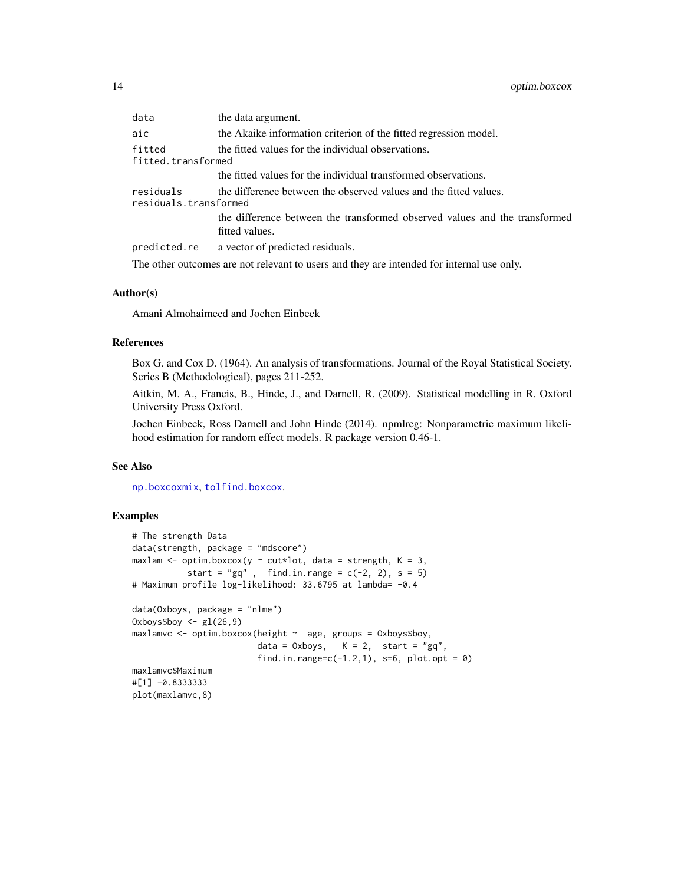<span id="page-13-0"></span>

| data                               | the data argument.                                                                           |
|------------------------------------|----------------------------------------------------------------------------------------------|
| aic                                | the Akaike information criterion of the fitted regression model.                             |
| fitted<br>fitted.transformed       | the fitted values for the individual observations.                                           |
|                                    | the fitted values for the individual transformed observations.                               |
| residuals<br>residuals.transformed | the difference between the observed values and the fitted values.                            |
|                                    | the difference between the transformed observed values and the transformed<br>fitted values. |
|                                    | predicted.re a vector of predicted residuals.                                                |
|                                    | The other outcomes are not relevant to users and they are intended for internal use only.    |

#### Author(s)

Amani Almohaimeed and Jochen Einbeck

#### References

Box G. and Cox D. (1964). An analysis of transformations. Journal of the Royal Statistical Society. Series B (Methodological), pages 211-252.

Aitkin, M. A., Francis, B., Hinde, J., and Darnell, R. (2009). Statistical modelling in R. Oxford University Press Oxford.

Jochen Einbeck, Ross Darnell and John Hinde (2014). npmlreg: Nonparametric maximum likelihood estimation for random effect models. R package version 0.46-1.

# See Also

[np.boxcoxmix](#page-6-1), [tolfind.boxcox](#page-16-1).

# Examples

```
# The strength Data
data(strength, package = "mdscore")
maxlam <- optim.boxcox(y \sim cut*lot, data = strength, K = 3,
          start = "gq", find.in.range = c(-2, 2), s = 5)
# Maximum profile log-likelihood: 33.6795 at lambda= -0.4
data(Oxboys, package = "nlme")
0xboys$boy <- gl(26, 9)maxlamvc <- optim.boxcox(height ~ age, groups = Oxboys$boy,
                        data = 0x boys, K = 2, start = "gq",
                        find.in.range=c(-1.2,1), s=6, plot.opt = 0)
maxlamvc$Maximum
#[1] -0.8333333
plot(maxlamvc,8)
```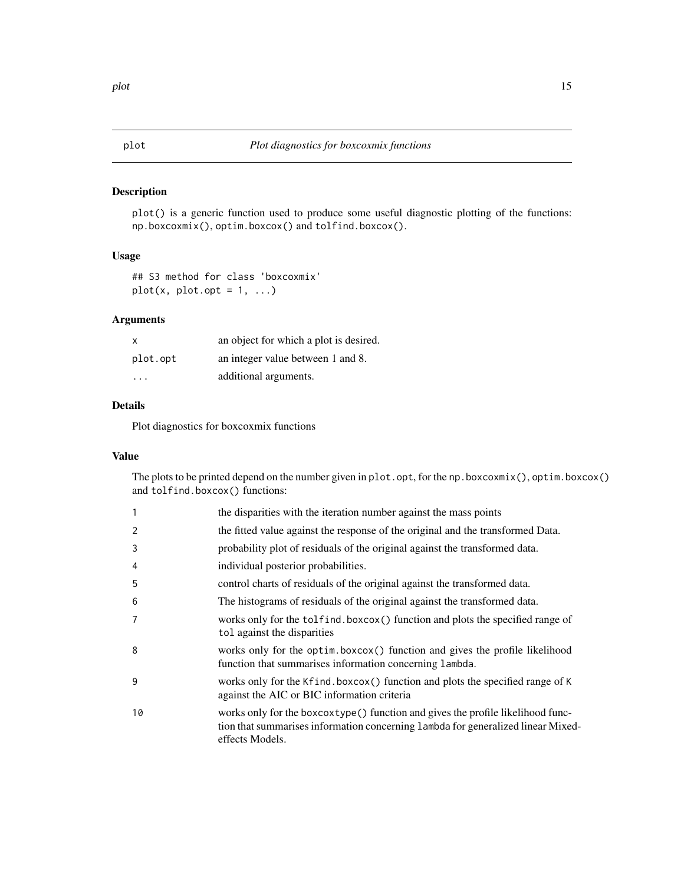# <span id="page-14-0"></span>Description

plot() is a generic function used to produce some useful diagnostic plotting of the functions: np.boxcoxmix(), optim.boxcox() and tolfind.boxcox().

### Usage

```
## S3 method for class 'boxcoxmix'
plot(x, plot,opt = 1, ...)
```
# Arguments

| x        | an object for which a plot is desired. |
|----------|----------------------------------------|
| plot.opt | an integer value between 1 and 8.      |
| .        | additional arguments.                  |

# Details

Plot diagnostics for boxcoxmix functions

# Value

The plots to be printed depend on the number given in plot.opt, for the np.boxcoxmix(), optim.boxcox() and tolfind.boxcox() functions:

| 1  | the disparities with the iteration number against the mass points                                                                                                                       |
|----|-----------------------------------------------------------------------------------------------------------------------------------------------------------------------------------------|
| 2  | the fitted value against the response of the original and the transformed Data.                                                                                                         |
| 3  | probability plot of residuals of the original against the transformed data.                                                                                                             |
| 4  | individual posterior probabilities.                                                                                                                                                     |
| 5  | control charts of residuals of the original against the transformed data.                                                                                                               |
| 6  | The histograms of residuals of the original against the transformed data.                                                                                                               |
| 7  | works only for the tolfind.boxcox() function and plots the specified range of<br>tol against the disparities                                                                            |
| 8  | works only for the optim.boxcox() function and gives the profile likelihood<br>function that summarises information concerning lambda.                                                  |
| 9  | works only for the Kfind.boxcox() function and plots the specified range of K<br>against the AIC or BIC information criteria                                                            |
| 10 | works only for the boxcoxtype () function and gives the profile likelihood func-<br>tion that summarises information concerning lambda for generalized linear Mixed-<br>effects Models. |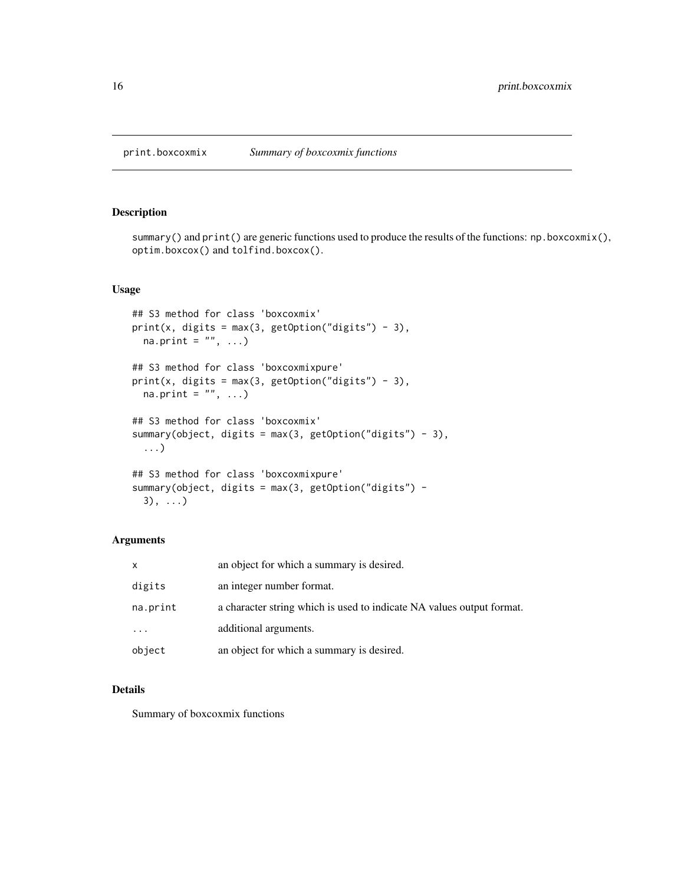<span id="page-15-0"></span>print.boxcoxmix *Summary of boxcoxmix functions*

#### Description

summary() and print() are generic functions used to produce the results of the functions: np.boxcoxmix(), optim.boxcox() and tolfind.boxcox().

# Usage

```
## S3 method for class 'boxcoxmix'
print(x, \text{ digits} = max(3, \text{ getOption("digits")} - 3),na.print = ", ...)
## S3 method for class 'boxcoxmixpure'
print(x, digits = max(3, getOption("digits") - 3),na.print = ", ...)
## S3 method for class 'boxcoxmix'
summary(object, digits = max(3, getOption("digits") - 3),
  ...)
## S3 method for class 'boxcoxmixpure'
summary(object, digits = max(3, getOption("digits") -
  3), ...)
```
# Arguments

| X        | an object for which a summary is desired.                             |
|----------|-----------------------------------------------------------------------|
| digits   | an integer number format.                                             |
| na.print | a character string which is used to indicate NA values output format. |
| .        | additional arguments.                                                 |
| object   | an object for which a summary is desired.                             |

# Details

Summary of boxcoxmix functions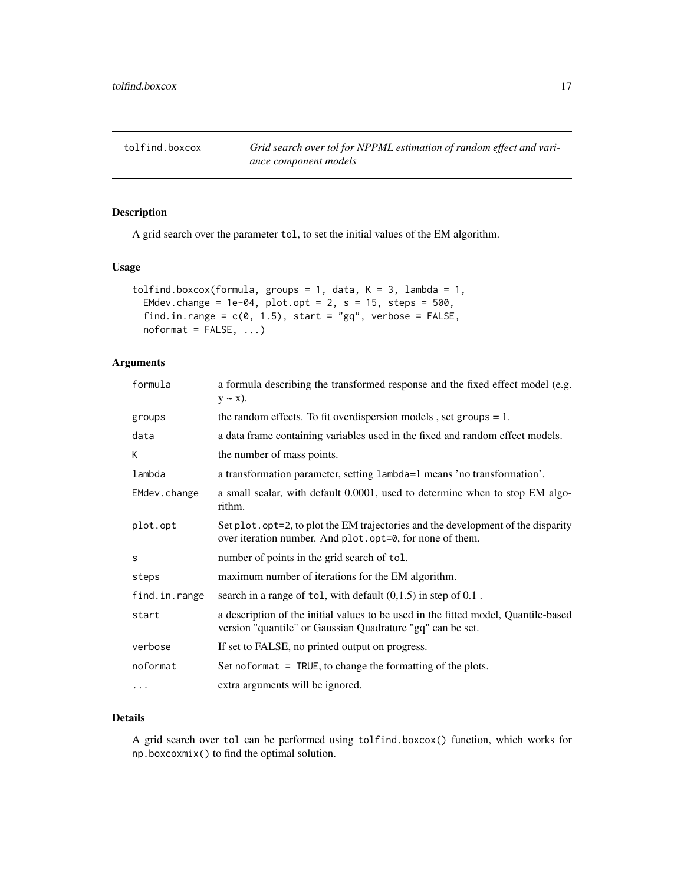<span id="page-16-1"></span><span id="page-16-0"></span>tolfind.boxcox *Grid search over tol for NPPML estimation of random effect and variance component models*

# Description

A grid search over the parameter tol, to set the initial values of the EM algorithm.

#### Usage

```
tolfind.boxcox(formula, groups = 1, data, K = 3, lambda = 1,
 EMdev.change = 1e-04, plot.opt = 2, s = 15, steps = 500,
  find.in.range = c(0, 1.5), start = "gq", verbose = FALSE,
  noformat = FALSE, ...)
```
# Arguments

| formula       | a formula describing the transformed response and the fixed effect model (e.g.<br>$y \sim x$ ).                                                  |
|---------------|--------------------------------------------------------------------------------------------------------------------------------------------------|
| groups        | the random effects. To fit overdispersion models, set groups $= 1$ .                                                                             |
| data          | a data frame containing variables used in the fixed and random effect models.                                                                    |
| К             | the number of mass points.                                                                                                                       |
| lambda        | a transformation parameter, setting lambda=1 means 'no transformation'.                                                                          |
| EMdev.change  | a small scalar, with default 0.0001, used to determine when to stop EM algo-<br>rithm.                                                           |
| plot.opt      | Set plot. opt=2, to plot the EM trajectories and the development of the disparity<br>over iteration number. And plot.opt=0, for none of them.    |
| S             | number of points in the grid search of tol.                                                                                                      |
| steps         | maximum number of iterations for the EM algorithm.                                                                                               |
| find.in.range | search in a range of tol, with default $(0,1.5)$ in step of $0.1$ .                                                                              |
| start         | a description of the initial values to be used in the fitted model, Quantile-based<br>version "quantile" or Gaussian Quadrature "gq" can be set. |
| verbose       | If set to FALSE, no printed output on progress.                                                                                                  |
| noformat      | Set noformat $=$ TRUE, to change the formatting of the plots.                                                                                    |
| $\cdots$      | extra arguments will be ignored.                                                                                                                 |

# Details

A grid search over tol can be performed using tolfind.boxcox() function, which works for np.boxcoxmix() to find the optimal solution.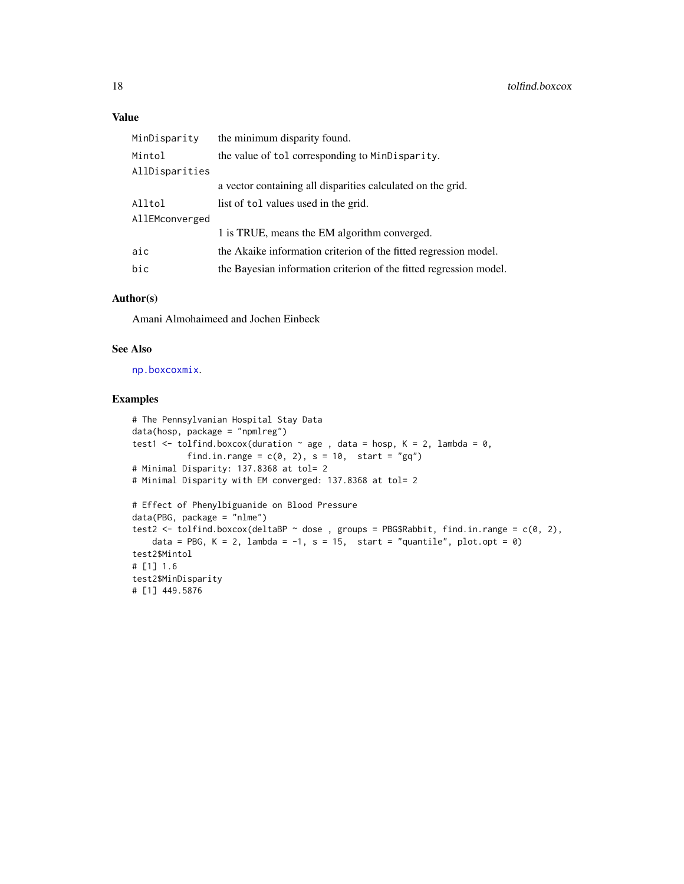# <span id="page-17-0"></span>Value

| MinDisparity   | the minimum disparity found.                                       |
|----------------|--------------------------------------------------------------------|
| Mintol         | the value of tol corresponding to MinDisparity.                    |
| AllDisparities |                                                                    |
|                | a vector containing all disparities calculated on the grid.        |
| Alltol         | list of tol values used in the grid.                               |
| AllEMconverged |                                                                    |
|                | 1 is TRUE, means the EM algorithm converged.                       |
| aic            | the Akaike information criterion of the fitted regression model.   |
| bic            | the Bayesian information criterion of the fitted regression model. |

# Author(s)

Amani Almohaimeed and Jochen Einbeck

# See Also

[np.boxcoxmix](#page-6-1).

# Examples

```
# The Pennsylvanian Hospital Stay Data
data(hosp, package = "npmlreg")
test1 <- tolfind.boxcox(duration \sim age, data = hosp, K = 2, lambda = 0,
           find.in.range = c(0, 2), s = 10, start = "gq")
# Minimal Disparity: 137.8368 at tol= 2
# Minimal Disparity with EM converged: 137.8368 at tol= 2
# Effect of Phenylbiguanide on Blood Pressure
data(PBG, package = "nlme")
test2 <- tolfind.boxcox(deltaBP \sim dose, groups = PBG$Rabbit, find.in.range = c(0, 2),
   data = PBG, K = 2, lambda = -1, s = 15, start = "quantile", plot.opt = 0)
test2$Mintol
# [1] 1.6
test2$MinDisparity
# [1] 449.5876
```